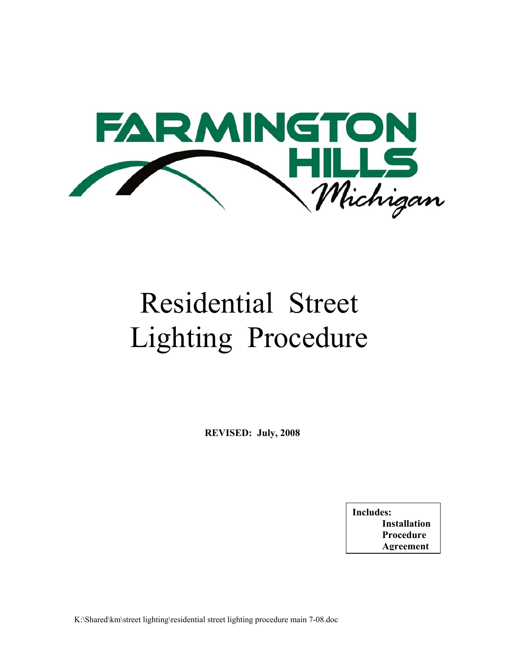

# Residential Street Lighting Procedure

**REVISED: July, 2008** 

**Includes: Installation Procedure Agreement**

K:\Shared\km\street lighting\residential street lighting procedure main 7-08.doc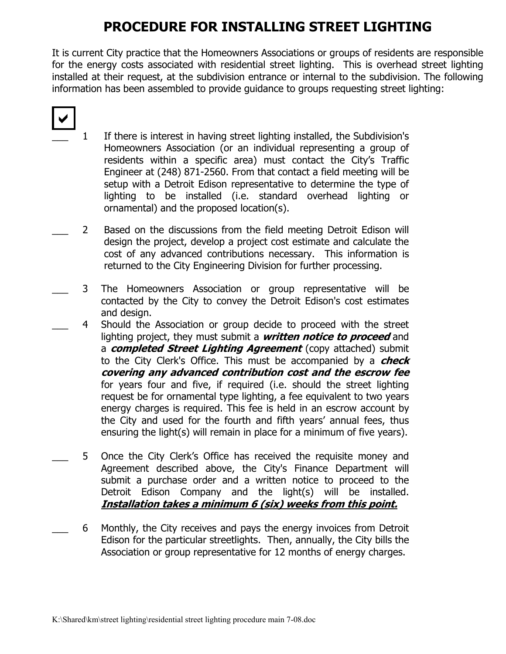### **PROCEDURE FOR INSTALLING STREET LIGHTING**

It is current City practice that the Homeowners Associations or groups of residents are responsible for the energy costs associated with residential street lighting. This is overhead street lighting installed at their request, at the subdivision entrance or internal to the subdivision. The following information has been assembled to provide guidance to groups requesting street lighting:

## $\blacktriangleright$

- 1 If there is interest in having street lighting installed, the Subdivision's Homeowners Association (or an individual representing a group of residents within a specific area) must contact the City's Traffic Engineer at (248) 871-2560. From that contact a field meeting will be setup with a Detroit Edison representative to determine the type of lighting to be installed (i.e. standard overhead lighting or ornamental) and the proposed location(s).
- 2 Based on the discussions from the field meeting Detroit Edison will design the project, develop a project cost estimate and calculate the cost of any advanced contributions necessary. This information is returned to the City Engineering Division for further processing.
- 3 The Homeowners Association or group representative will be contacted by the City to convey the Detroit Edison's cost estimates and design.
- 4 Should the Association or group decide to proceed with the street lighting project, they must submit a **written notice to proceed** and a **completed Street Lighting Agreement** (copy attached) submit to the City Clerk's Office. This must be accompanied by a **check covering any advanced contribution cost and the escrow fee**  for years four and five, if required (i.e. should the street lighting request be for ornamental type lighting, a fee equivalent to two years energy charges is required. This fee is held in an escrow account by the City and used for the fourth and fifth years' annual fees, thus ensuring the light(s) will remain in place for a minimum of five years).
- 5 Once the City Clerk's Office has received the requisite money and Agreement described above, the City's Finance Department will submit a purchase order and a written notice to proceed to the Detroit Edison Company and the light(s) will be installed. **Installation takes a minimum 6 (six) weeks from this point.**
	- \_\_\_ 6 Monthly, the City receives and pays the energy invoices from Detroit Edison for the particular streetlights. Then, annually, the City bills the Association or group representative for 12 months of energy charges.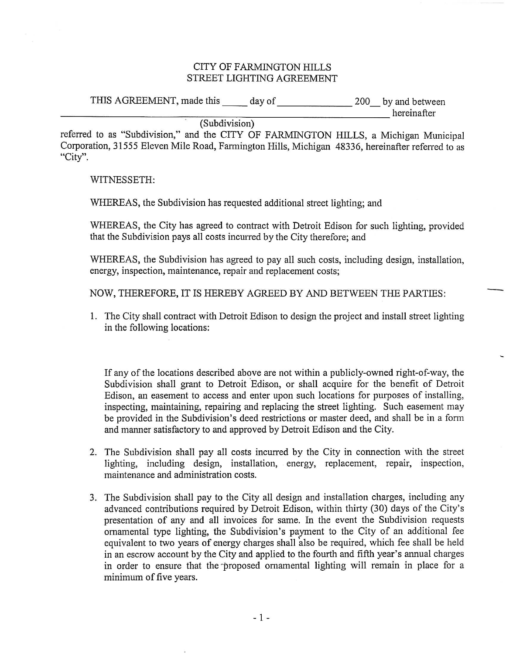#### **CITY OF FARMINGTON HILLS** STREET LIGHTING AGREEMENT

THIS AGREEMENT, made this \_\_\_\_\_ day of \_\_\_\_\_\_\_\_\_\_\_\_\_\_\_\_\_\_\_\_\_\_\_ 200\_\_ by and between

hereinafter

#### (Subdivision)

referred to as "Subdivision," and the CITY OF FARMINGTON HILLS, a Michigan Municipal Corporation, 31555 Eleven Mile Road, Farmington Hills, Michigan 48336, hereinafter referred to as "City".

#### WITNESSETH:

WHEREAS, the Subdivision has requested additional street lighting; and

WHEREAS, the City has agreed to contract with Detroit Edison for such lighting, provided that the Subdivision pays all costs incurred by the City therefore; and

WHEREAS, the Subdivision has agreed to pay all such costs, including design, installation, energy, inspection, maintenance, repair and replacement costs;

NOW, THEREFORE, IT IS HEREBY AGREED BY AND BETWEEN THE PARTIES:

1. The City shall contract with Detroit Edison to design the project and install street lighting in the following locations:

If any of the locations described above are not within a publicly-owned right-of-way, the Subdivision shall grant to Detroit Edison, or shall acquire for the benefit of Detroit Edison, an easement to access and enter upon such locations for purposes of installing, inspecting, maintaining, repairing and replacing the street lighting. Such easement may be provided in the Subdivision's deed restrictions or master deed, and shall be in a form and manner satisfactory to and approved by Detroit Edison and the City.

- 2. The Subdivision shall pay all costs incurred by the City in connection with the street lighting, including design, installation, energy, replacement, repair, inspection, maintenance and administration costs.
- 3. The Subdivision shall pay to the City all design and installation charges, including any advanced contributions required by Detroit Edison, within thirty (30) days of the City's presentation of any and all invoices for same. In the event the Subdivision requests ornamental type lighting, the Subdivision's payment to the City of an additional fee equivalent to two years of energy charges shall also be required, which fee shall be held in an escrow account by the City and applied to the fourth and fifth year's annual charges in order to ensure that the proposed ornamental lighting will remain in place for a minimum of five years.